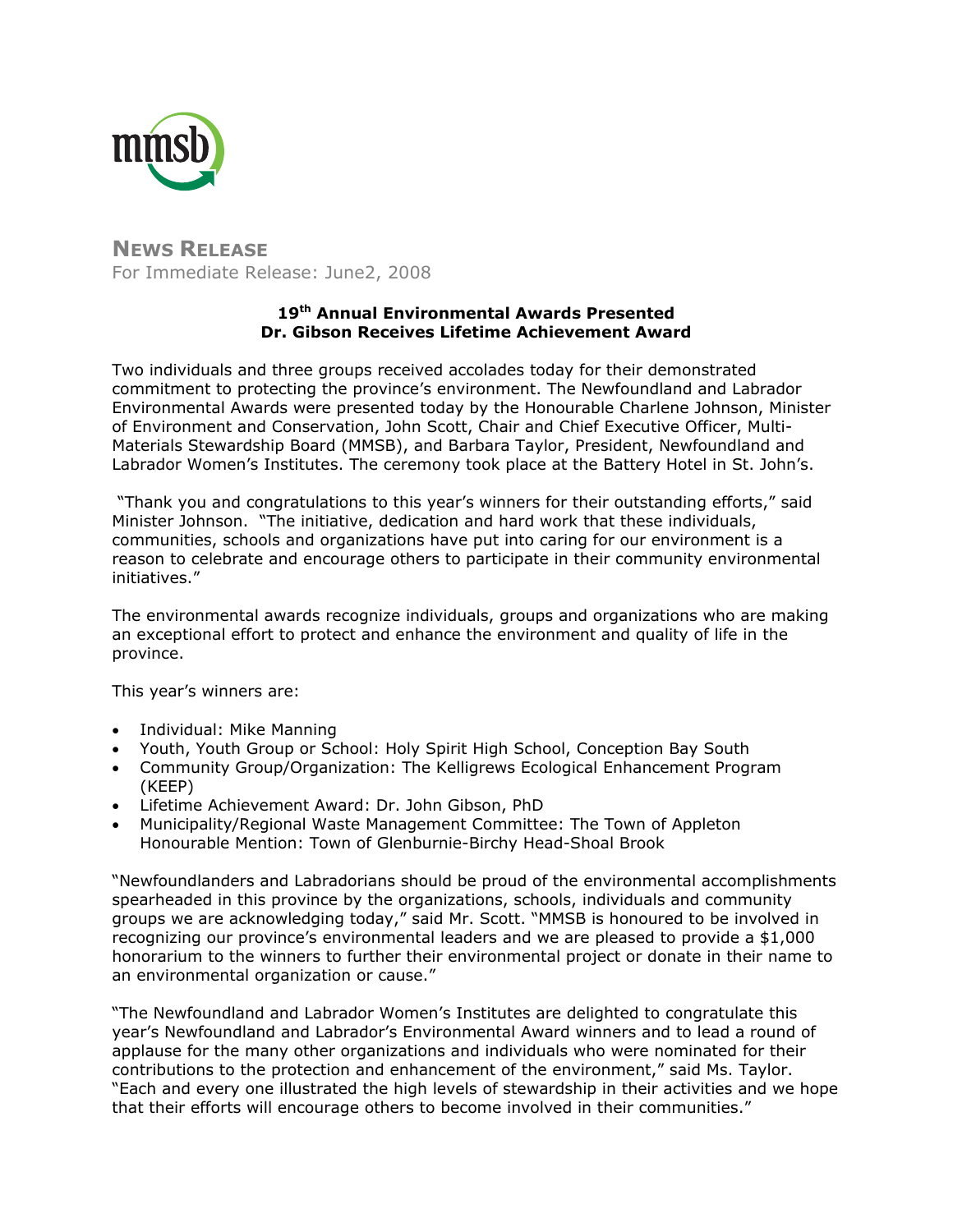

**NEWS RELEASE** For Immediate Release: June2, 2008

# **19th Annual Environmental Awards Presented Dr. Gibson Receives Lifetime Achievement Award**

Two individuals and three groups received accolades today for their demonstrated commitment to protecting the province's environment. The Newfoundland and Labrador Environmental Awards were presented today by the Honourable Charlene Johnson, Minister of Environment and Conservation, John Scott, Chair and Chief Executive Officer, Multi-Materials Stewardship Board (MMSB), and Barbara Taylor, President, Newfoundland and Labrador Women's Institutes. The ceremony took place at the Battery Hotel in St. John's.

 "Thank you and congratulations to this year's winners for their outstanding efforts," said Minister Johnson. "The initiative, dedication and hard work that these individuals, communities, schools and organizations have put into caring for our environment is a reason to celebrate and encourage others to participate in their community environmental initiatives."

The environmental awards recognize individuals, groups and organizations who are making an exceptional effort to protect and enhance the environment and quality of life in the province.

This year's winners are:

- Individual: Mike Manning
- Youth, Youth Group or School: Holy Spirit High School, Conception Bay South
- Community Group/Organization: The Kelligrews Ecological Enhancement Program (KEEP)
- Lifetime Achievement Award: Dr. John Gibson, PhD
- Municipality/Regional Waste Management Committee: The Town of Appleton Honourable Mention: Town of Glenburnie-Birchy Head-Shoal Brook

"Newfoundlanders and Labradorians should be proud of the environmental accomplishments spearheaded in this province by the organizations, schools, individuals and community groups we are acknowledging today," said Mr. Scott. "MMSB is honoured to be involved in recognizing our province's environmental leaders and we are pleased to provide a \$1,000 honorarium to the winners to further their environmental project or donate in their name to an environmental organization or cause."

"The Newfoundland and Labrador Women's Institutes are delighted to congratulate this year's Newfoundland and Labrador's Environmental Award winners and to lead a round of applause for the many other organizations and individuals who were nominated for their contributions to the protection and enhancement of the environment," said Ms. Taylor. "Each and every one illustrated the high levels of stewardship in their activities and we hope that their efforts will encourage others to become involved in their communities."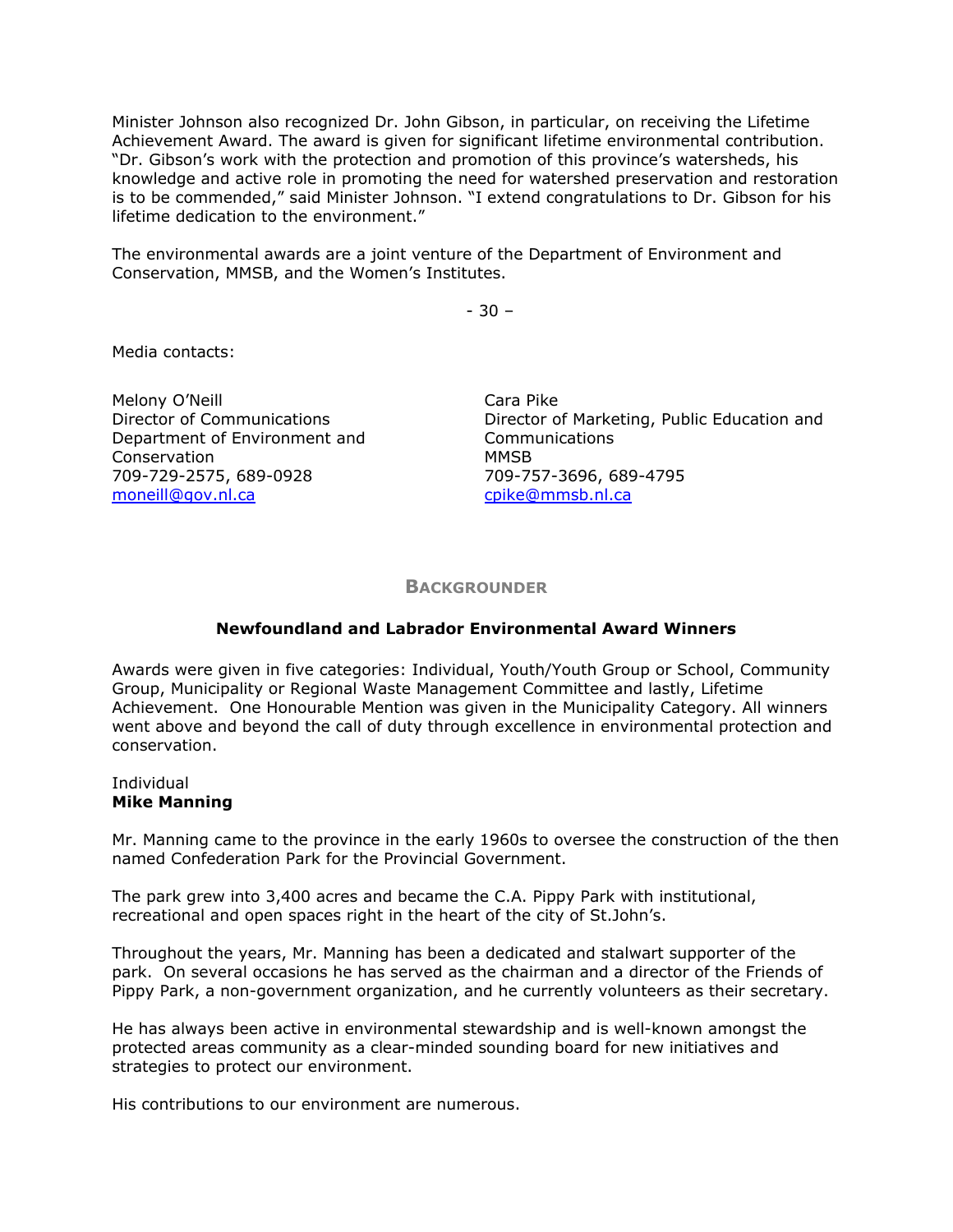Minister Johnson also recognized Dr. John Gibson, in particular, on receiving the Lifetime Achievement Award. The award is given for significant lifetime environmental contribution. "Dr. Gibson's work with the protection and promotion of this province's watersheds, his knowledge and active role in promoting the need for watershed preservation and restoration is to be commended," said Minister Johnson. "I extend congratulations to Dr. Gibson for his lifetime dedication to the environment."

The environmental awards are a joint venture of the Department of Environment and Conservation, MMSB, and the Women's Institutes.

- 30 –

Media contacts:

Melony O'Neill Director of Communications Department of Environment and Conservation 709-729-2575, 689-0928 [moneill@gov.nl.ca](mailto:moneill@gov.nl.ca)

Cara Pike Director of Marketing, Public Education and Communications MMSB 709-757-3696, 689-4795 [cpike@mmsb.nl.ca](mailto:cpike@mmsb.nl.ca) 

## **BACKGROUNDER**

## **Newfoundland and Labrador Environmental Award Winners**

Awards were given in five categories: Individual, Youth/Youth Group or School, Community Group, Municipality or Regional Waste Management Committee and lastly, Lifetime Achievement. One Honourable Mention was given in the Municipality Category. All winners went above and beyond the call of duty through excellence in environmental protection and conservation.

#### Individual **Mike Manning**

Mr. Manning came to the province in the early 1960s to oversee the construction of the then named Confederation Park for the Provincial Government.

The park grew into 3,400 acres and became the C.A. Pippy Park with institutional, recreational and open spaces right in the heart of the city of St.John's.

Throughout the years, Mr. Manning has been a dedicated and stalwart supporter of the park. On several occasions he has served as the chairman and a director of the Friends of Pippy Park, a non-government organization, and he currently volunteers as their secretary.

He has always been active in environmental stewardship and is well-known amongst the protected areas community as a clear-minded sounding board for new initiatives and strategies to protect our environment.

His contributions to our environment are numerous.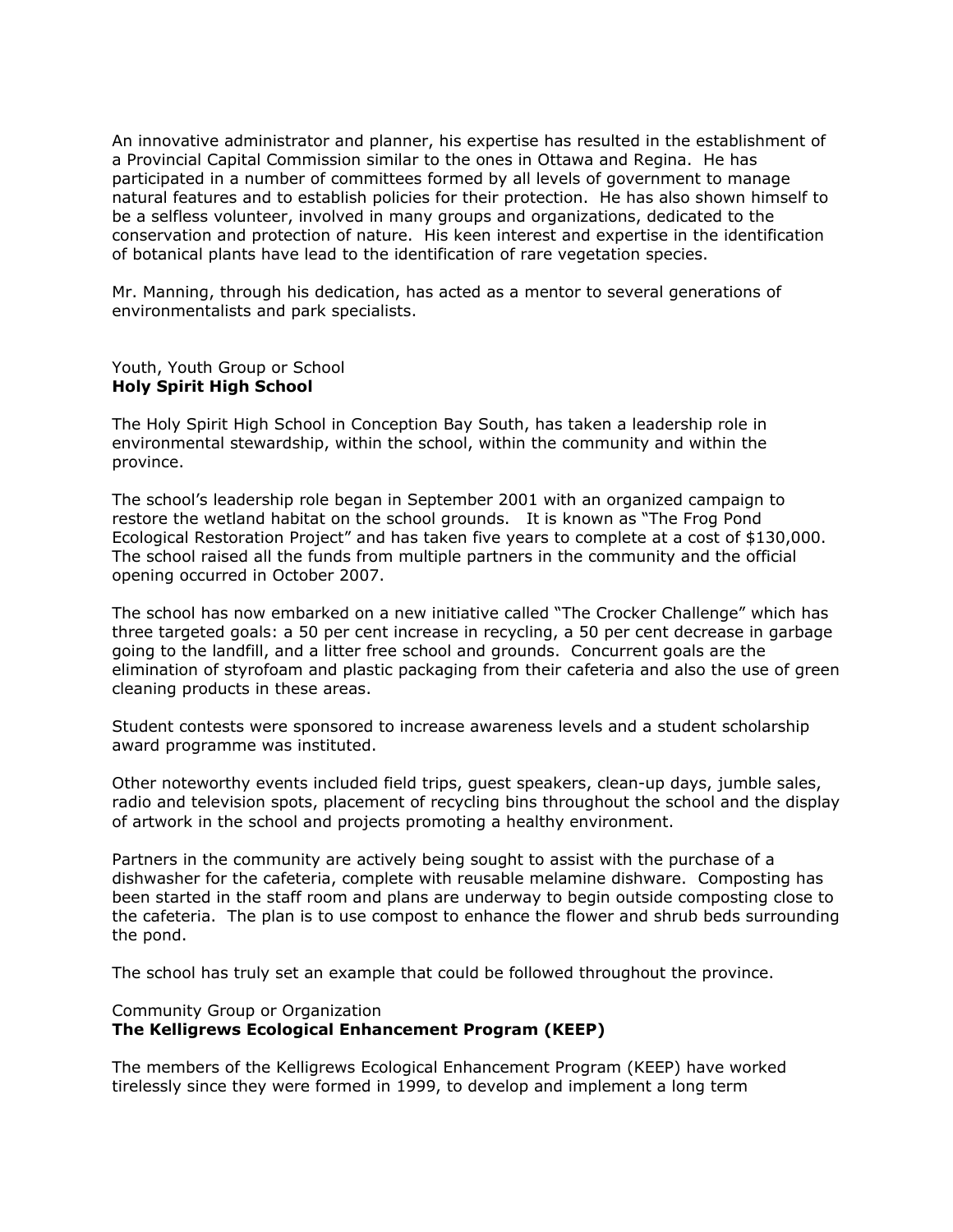An innovative administrator and planner, his expertise has resulted in the establishment of a Provincial Capital Commission similar to the ones in Ottawa and Regina. He has participated in a number of committees formed by all levels of government to manage natural features and to establish policies for their protection. He has also shown himself to be a selfless volunteer, involved in many groups and organizations, dedicated to the conservation and protection of nature. His keen interest and expertise in the identification of botanical plants have lead to the identification of rare vegetation species.

Mr. Manning, through his dedication, has acted as a mentor to several generations of environmentalists and park specialists.

Youth, Youth Group or School **Holy Spirit High School** 

The Holy Spirit High School in Conception Bay South, has taken a leadership role in environmental stewardship, within the school, within the community and within the province.

The school's leadership role began in September 2001 with an organized campaign to restore the wetland habitat on the school grounds. It is known as "The Frog Pond Ecological Restoration Project" and has taken five years to complete at a cost of \$130,000. The school raised all the funds from multiple partners in the community and the official opening occurred in October 2007.

The school has now embarked on a new initiative called "The Crocker Challenge" which has three targeted goals: a 50 per cent increase in recycling, a 50 per cent decrease in garbage going to the landfill, and a litter free school and grounds. Concurrent goals are the elimination of styrofoam and plastic packaging from their cafeteria and also the use of green cleaning products in these areas.

Student contests were sponsored to increase awareness levels and a student scholarship award programme was instituted.

Other noteworthy events included field trips, guest speakers, clean-up days, jumble sales, radio and television spots, placement of recycling bins throughout the school and the display of artwork in the school and projects promoting a healthy environment.

Partners in the community are actively being sought to assist with the purchase of a dishwasher for the cafeteria, complete with reusable melamine dishware. Composting has been started in the staff room and plans are underway to begin outside composting close to the cafeteria. The plan is to use compost to enhance the flower and shrub beds surrounding the pond.

The school has truly set an example that could be followed throughout the province.

# Community Group or Organization **The Kelligrews Ecological Enhancement Program (KEEP)**

The members of the Kelligrews Ecological Enhancement Program (KEEP) have worked tirelessly since they were formed in 1999, to develop and implement a long term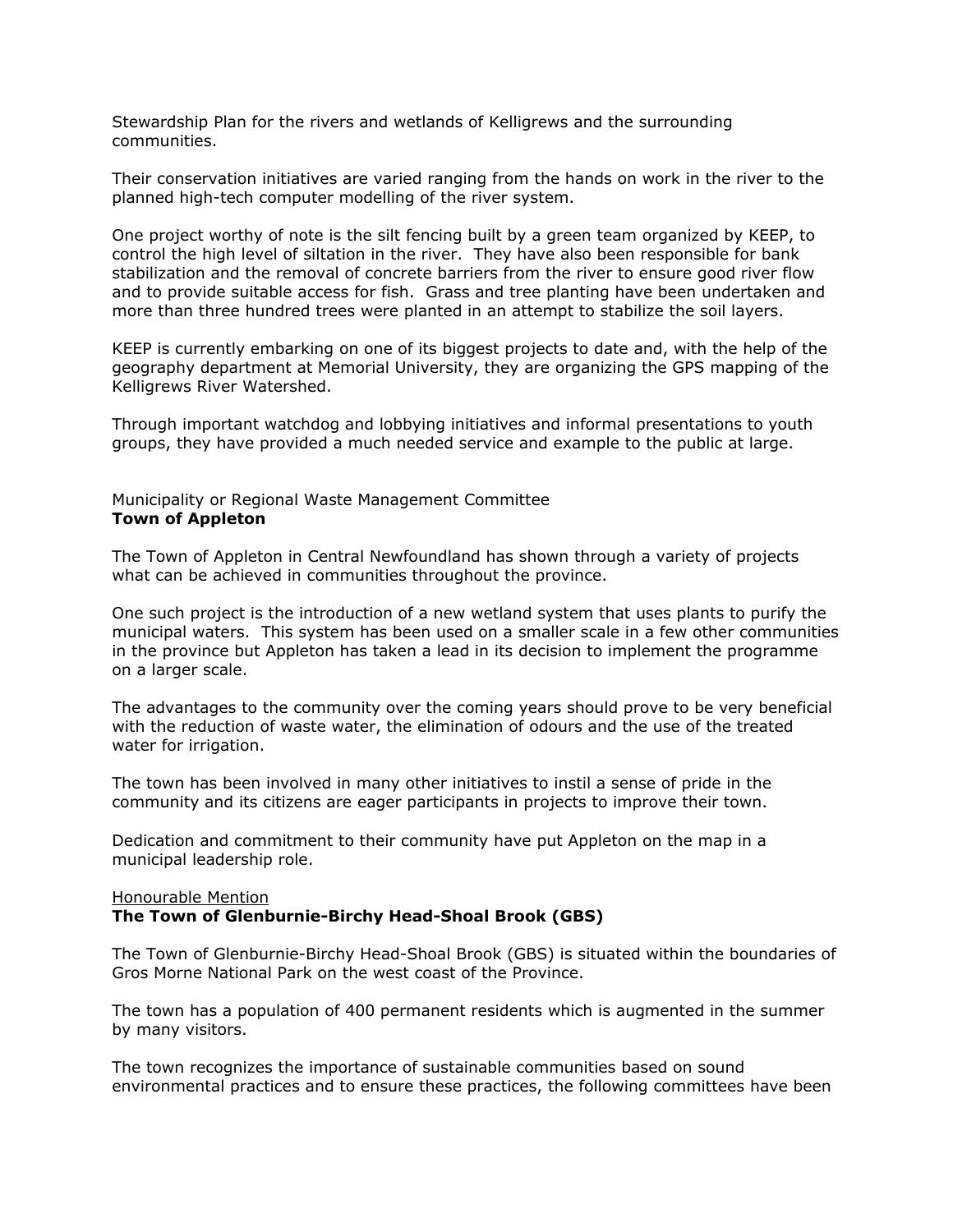Stewardship Plan for the rivers and wetlands of Kelligrews and the surrounding communities.

Their conservation initiatives are varied ranging from the hands on work in the river to the planned high-tech computer modelling of the river system.

One project worthy of note is the silt fencing built by a green team organized by KEEP, to control the high level of siltation in the river. They have also been responsible for bank stabilization and the removal of concrete barriers from the river to ensure good river flow and to provide suitable access for fish. Grass and tree planting have been undertaken and more than three hundred trees were planted in an attempt to stabilize the soil layers.

KEEP is currently embarking on one of its biggest projects to date and, with the help of the geography department at Memorial University, they are organizing the GPS mapping of the Kelligrews River Watershed.

Through important watchdog and lobbying initiatives and informal presentations to youth groups, they have provided a much needed service and example to the public at large.

## Municipality or Regional Waste Management Committee **Town of Appleton**

The Town of Appleton in Central Newfoundland has shown through a variety of projects what can be achieved in communities throughout the province.

One such project is the introduction of a new wetland system that uses plants to purify the municipal waters. This system has been used on a smaller scale in a few other communities in the province but Appleton has taken a lead in its decision to implement the programme on a larger scale.

The advantages to the community over the coming years should prove to be very beneficial with the reduction of waste water, the elimination of odours and the use of the treated water for irrigation.

The town has been involved in many other initiatives to instil a sense of pride in the community and its citizens are eager participants in projects to improve their town.

Dedication and commitment to their community have put Appleton on the map in a municipal leadership role.

## Honourable Mention **The Town of Glenburnie-Birchy Head-Shoal Brook (GBS)**

The Town of Glenburnie-Birchy Head-Shoal Brook (GBS) is situated within the boundaries of Gros Morne National Park on the west coast of the Province.

The town has a population of 400 permanent residents which is augmented in the summer by many visitors.

The town recognizes the importance of sustainable communities based on sound environmental practices and to ensure these practices, the following committees have been